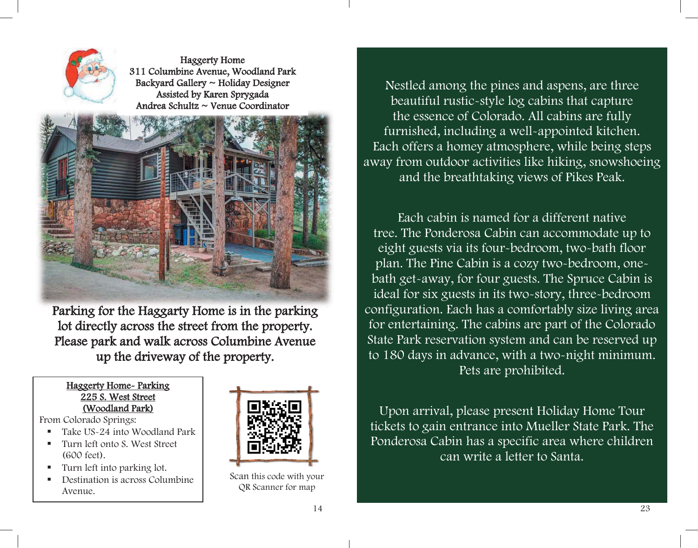

Haggerty Home 311 Columbine Avenue, Woodland Park Backyard Gallery ~ Holiday Designer Assisted by Karen Sprygada Andrea Schultz ~ Venue Coordinator



Parking for the Haggarty Home is in the parking lot directly across the street from the property. Please park and walk across Columbine Avenue up the driveway of the property.

### Haggerty Home-Parking 225 S. West Street (Woodland Park)

From Colorado Springs:

- Take US-24 into Woodland Park
- Turn left onto S. West Street (600 feet).
- Turn left into parking lot.
- Destination is across Columbine Avenue.



Scan this code with your QR Scanner for map

Nestled among the pines and aspens, are three beautiful rustic-style log cabins that capture the essence of Colorado. All cabins are fully furnished, including a well-appointed kitchen. Each offers a homey atmosphere, while being steps away from outdoor activities like hiking, snowshoeing and the breathtaking views of Pikes Peak.

Each cabin is named for a different native tree. The Ponderosa Cabin can accommodate up to eight guests via its four-bedroom, two-bath floor plan. The Pine Cabin is a cozy two-bedroom, onebath get-away, for four guests. The Spruce Cabin is ideal for six guests in its two-story, three-bedroom configuration. Each has a comfortably size living area for entertaining. The cabins are part of the Colorado State Park reservation system and can be reserved up to 180 days in advance, with a two-night minimum. Pets are prohibited.

Upon arrival, please present Holiday Home Tour tickets to gain entrance into Mueller State Park. The Ponderosa Cabin has a specific area where children can write a letter to Santa.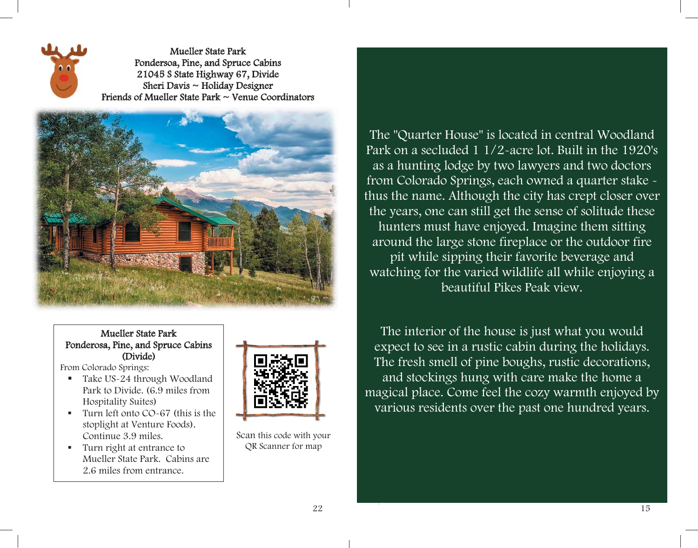

Mueller State Park Pondersoa, Pine, and Spruce Cabins 21045 S State Highway 67, Divide Sheri Davis ~ Holiday Designer Friends of Mueller State Park ~ Venue Coordinators



## Mueller State Park Ponderosa, Pine, and Spruce Cabins (Divide)

From Colorado Springs:

- Take US-24 through Woodland Park to Divide. (6.9 miles from Hospitality Suites)
- Turn left onto CO~67 (this is the stoplight at Venture Foods). Continue 3.9 miles.
- Turn right at entrance to Mueller State Park. Cabins are 2.6 miles from entrance.



Scan this code with your QR Scanner for map

# The "Quarter House" is located in central Woodland Park on a secluded 1 1/2-acre lot. Built in the 1920's as a hunting lodge by two lawyers and two doctors from Colorado Springs, each owned a quarter stake thus the name. Although the city has crept closer over the years, one can still get the sense of solitude these hunters must have enjoyed. Imagine them sitting around the large stone fireplace or the outdoor fire pit while sipping their favorite beverage and watching for the varied wildlife all while enjoying a beautiful Pikes Peak view.

The interior of the house is just what you would expect to see in a rustic cabin during the holidays. The fresh smell of pine boughs, rustic decorations, and stockings hung with care make the home a magical place. Come feel the cozy warmth enjoyed by various residents over the past one hundred years.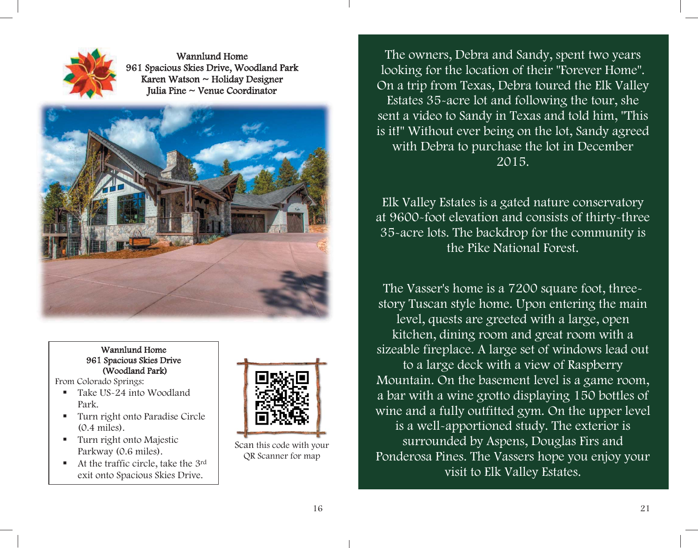

Wannlund Home 961 Spacious Skies Drive, Woodland Park Karen Watson ~ Holiday Designer Iulia Pine  $\sim$  Venue Coordinator



#### Wannlund Home 961 Spacious Skies Drive (Woodland Park)

From Colorado Springs:

- Take US-24 into Woodland Park.
- Turn right onto Paradise Circle (0.4 miles).
- Turn right onto Majestic Parkway (0.6 miles).
- At the traffic circle, take the 3rd exit onto Spacious Skies Drive.



Scan this code with your QR Scanner for map

The owners, Debra and Sandy, spent two years looking for the location of their "Forever Home". On a trip from Texas, Debra toured the Elk Valley Estates 35-acre lot and following the tour, she sent a video to Sandy in Texas and told him, "This is it!" Without ever being on the lot, Sandy agreed with Debra to purchase the lot in December 2015.

Elk Valley Estates is a gated nature conservatory at 9600-foot elevation and consists of thirty-three 35-acre lots. The backdrop for the community is the Pike National Forest.

The Vasser's home is a 7200 square foot, threestory Tuscan style home. Upon entering the main level, quests are greeted with a large, open kitchen, dining room and great room with a sizeable fireplace. A large set of windows lead out to a large deck with a view of Raspberry Mountain. On the basement level is a game room, a bar with a wine grotto displaying 150 bottles of wine and a fully outfitted gym. On the upper level is a well-apportioned study. The exterior is surrounded by Aspens, Douglas Firs and Ponderosa Pines. The Vassers hope you enjoy your visit to Elk Valley Estates.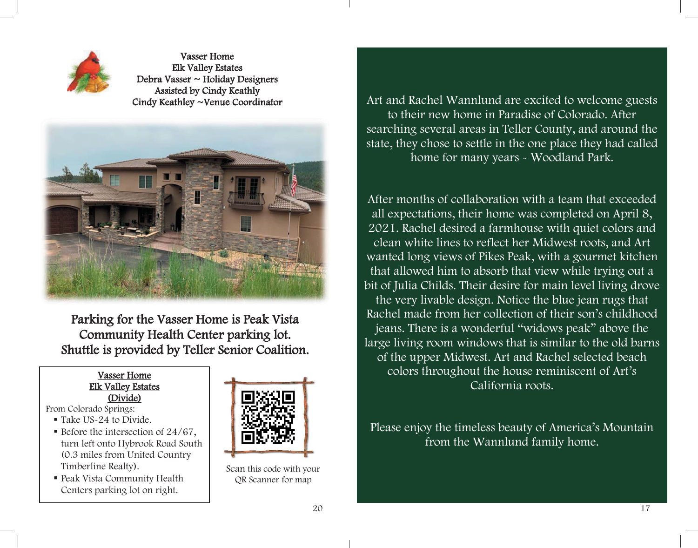

Vasser Home Elk Valley Estates Debra Vasser ~ Holiday Designers Assisted by Cindy Keathly Cindy Keathley ~Venue Coordinator



Parking for the Vasser Home is Peak Vista Community Health Center parking lot. Shuttle is provided by Teller Senior Coalition.

#### Vasser Home Elk Valley Estates (Divide)

From Colorado Springs:

- Take US-24 to Divide.
- Before the intersection of  $24/67$ . turn left onto Hybrook Road South (0.3 miles from United Country Timberline Realty).
- Peak Vista Community Health Centers parking lot on right.



Scan this code with your QR Scanner for map

Art and Rachel Wannlund are excited to welcome guests to their new home in Paradise of Colorado. After searching several areas in Teller County, and around the state, they chose to settle in the one place they had called home for many years - Woodland Park.

After months of collaboration with a team that exceeded all expectations, their home was completed on April 8, 2021. Rachel desired a farmhouse with quiet colors and clean white lines to reflect her Midwest roots, and Art wanted long views of Pikes Peak, with a gourmet kitchen that allowed him to absorb that view while trying out a bit of Julia Childs. Their desire for main level living drove the very livable design. Notice the blue jean rugs that Rachel made from her collection of their son's childhood jeans. There is a wonderful "widows peak" above the large living room windows that is similar to the old barns of the upper Midwest. Art and Rachel selected beach colors throughout the house reminiscent of Art's California roots.

Please enjoy the timeless beauty of America's Mountain from the Wannlund family home.